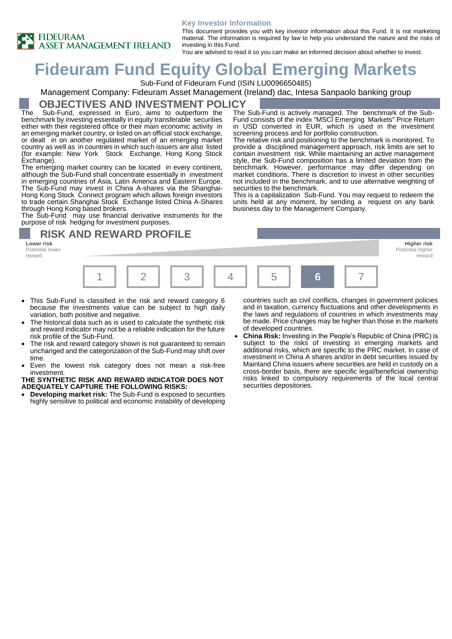

#### **Key Investor Information**

This document provides you with key investor information about this Fund. It is not marketing material. The information is required by law to help you understand the nature and the risks of investing in this Fund. You are advised to read it so you can make an informed decision about whether to invest.

screening process and for portfolio construction.

business day to the Management Company.

securities to the benchmark.

The Sub-Fund is actively managed. The benchmark of the Sub-Fund consists of the index "MSCI Emerging Markets" Price Return in USD converted in EUR, which is used in the investment

The relative risk and positioning to the benchmark is monitored. To provide a disciplined management approach, risk limits are set to contain investment risk. While maintaining an active management style, the Sub-Fund composition has a limited deviation from the benchmark. However, performance may differ depending on market conditions. There is discretion to invest in other securities not included in the benchmark, and to use alternative weighting of

This is a capitalization Sub-Fund. You may request to redeem the units held at any moment, by sending a request on any bank

# **Fideuram Fund Equity Global Emerging Markets**

Sub-Fund of Fideuram Fund (ISIN LU0096650485)

### Management Company: Fideuram Asset Management (Ireland) dac, Intesa Sanpaolo banking group

### **OBJECTIVES AND INVESTMENT POLICY**

The Sub-Fund, expressed in Euro, aims to outperform the benchmark by investing essentially in equity transferable securities either with their registered office or their main economic activity in an emerging market country, or listed on an official stock exchange, or dealt in on another regulated market of an emerging market country as well as in countries in which such issuers are also listed (for example: New York Stock Exchange, Hong Kong Stock Exchange).

The emerging market country can be located in every continent, although the Sub-Fund shall concentrate essentially in investment in emerging countries of Asia, Latin America and Eastern Europe. The Sub-Fund may invest in China A-shares via the Shanghai-Hong Kong Stock Connect program which allows foreign investors to trade certain Shanghai Stock Exchange listed China A-Shares through Hong Kong based brokers.

The Sub-Fund may use financial derivative instruments for the purpose of risk hedging for investment purposes.

# **RISK AND REWARD PROFILE**

**Lower risk Higher risk** Potential lower reward



- This Sub-Fund is classified in the risk and reward category 6 because the investments value can be subject to high daily variation, both positive and negative.
- The historical data such as is used to calculate the synthetic risk and reward indicator may not be a reliable indication for the future risk profile of the Sub-Fund.
- The risk and reward category shown is not guaranteed to remain unchanged and the categorization of the Sub-Fund may shift over time.
- Even the lowest risk category does not mean a risk-free investment.

#### **THE SYNTHETIC RISK AND REWARD INDICATOR DOES NOT ADEQUATELY CAPTURE THE FOLLOWING RISKS:**

• **Developing market risk:** The Sub-Fund is exposed to securities highly sensitive to political and economic instability of developing countries such as civil conflicts, changes in government policies and in taxation, currency fluctuations and other developments in

Potential higher reward

- the laws and regulations of countries in which investments may be made. Price changes may be higher than those in the markets of developed countries.
- **China Risk:** Investing in the People's Republic of China (PRC) is subject to the risks of investing in emerging markets and additional risks, which are specific to the PRC market. In case of investment in China A shares and/or in debt securities issued by Mainland China issuers where securities are held in custody on a cross-border basis, there are specific legal/beneficial ownership risks linked to compulsory requirements of the local central securities depositories.